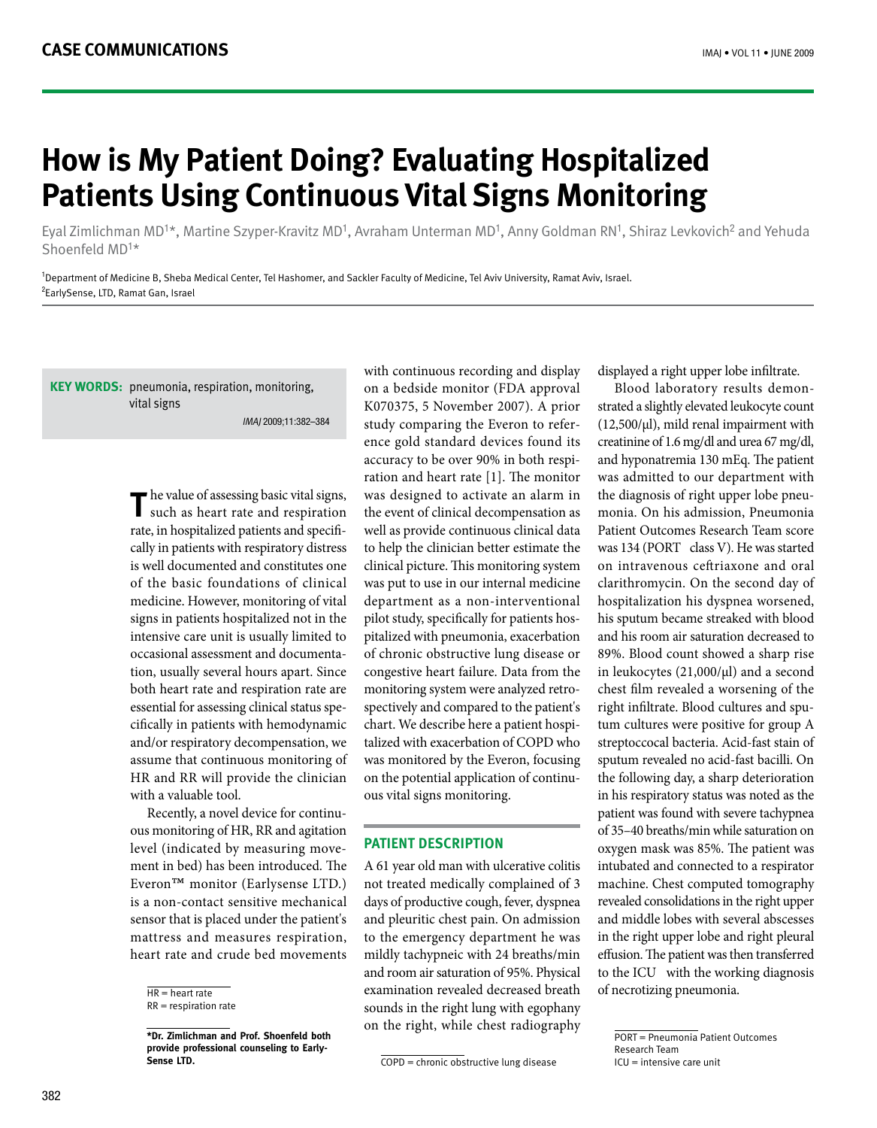# **How is My Patient Doing? Evaluating Hospitalized Patients Using Continuous Vital Signs Monitoring**

Eyal Zimlichman MD<sup>1\*</sup>, Martine Szyper-Kravitz MD<sup>1</sup>, Avraham Unterman MD<sup>1</sup>, Anny Goldman RN<sup>1</sup>, Shiraz Levkovich<sup>2</sup> and Yehuda Shoenfeld  $MD<sup>1</sup>$ \*

<sup>1</sup>Department of Medicine B, Sheba Medical Center, Tel Hashomer, and Sackler Faculty of Medicine, Tel Aviv University, Ramat Aviv, Israel. <sup>2</sup>EarlySense, LTD, Ramat Gan, Israel

KEY WORDS: pneumonia, respiration, monitoring, vital signs IMAJ 2009;11:382-384

> The value of assessing basic vital signs,<br>such as heart rate and respiration such as heart rate and respiration cally in patients with respiratory distress rate, in hospitalized patients and specifiis well documented and constitutes one of the basic foundations of clinical medicine. However, monitoring of vital signs in patients hospitalized not in the intensive care unit is usually limited to tion, usually several hours apart. Since occasional assessment and documentaboth heart rate and respiration rate are cifically in patients with hemodynamic essential for assessing clinical status speand/or respiratory decompensation, we assume that continuous monitoring of HR and RR will provide the clinician with a valuable tool.

> ous monitoring of HR, RR and agitation Recently, a novel device for continument in bed) has been introduced. The level (indicated by measuring move- $\text{Even}^{\text{TM}}$  monitor (Earlysense LTD.) is a non-contact sensitive mechanical sensor that is placed under the patient's mattress and measures respiration, heart rate and crude bed movements

with continuous recording and display on a bedside monitor (FDA approval K070375, 5 November 2007). A prior ence gold standard devices found its study comparing the Everon to referration and heart rate  $[1]$ . The monitor accuracy to be over 90% in both respiwas designed to activate an alarm in the event of clinical decompensation as well as provide continuous clinical data to help the clinician better estimate the clinical picture. This monitoring system was put to use in our internal medicine department as a non-interventional pitalized with pneumonia, exacerbation pilot study, specifically for patients hosof chronic obstructive lung disease or congestive heart failure. Data from the spectively and compared to the patient's monitoring system were analyzed retrotalized with exacerbation of COPD who chart. We describe here a patient hospiwas monitored by the Everon, focusing ous vital signs monitoring. on the potential application of continu-

## **PATIENT DESCRIPTION**

A 61 year old man with ulcerative colitis not treated medically complained of 3 days of productive cough, fever, dyspnea and pleuritic chest pain. On admission to the emergency department he was mildly tachypneic with 24 breaths/min and room air saturation of 95%. Physical examination revealed decreased breath sounds in the right lung with egophany on the right, while chest radiography

 $\overline{\text{COPD}}$  = chronic obstructive lung disease

displayed a right upper lobe infiltrate.

strated a slightly elevated leukocyte count Blood laboratory results demon- $(12,500/\mu l)$ , mild renal impairment with creatinine of 1.6 mg/dl and urea 67 mg/dl, and hyponatremia 130 mEq. The patient was admitted to our department with monia On his admission. Pneumonia the diagnosis of right upper lobe pneu-Patient Outcomes Research Team score was 134 (PORT class V). He was started on intravenous ceftriaxone and oral clarithromycin. On the second day of hospitalization his dyspnea worsened, his sputum became streaked with blood and his room air saturation decreased to 89%. Blood count showed a sharp rise in leukocytes  $(21,000/\mu l)$  and a second chest film revealed a worsening of the tum cultures were positive for group A right infiltrate. Blood cultures and spustreptoccocal bacteria. Acid-fast stain of sputum revealed no acid-fast bacilli. On the following day, a sharp deterioration in his respiratory status was noted as the patient was found with severe tachypnea of 35–40 breaths/min while saturation on oxygen mask was 85%. The patient was intubated and connected to a respirator machine. Chest computed tomography revealed consolidations in the right upper and middle lobes with several abscesses in the right upper lobe and right pleural effusion. The patient was then transferred to the ICU with the working diagnosis of necrotizing pneumonia.

 $HR = heart$  rate

 $RR =$  respiration rate

 $\overline{\text{*}$  Dr. Zimlichman and Prof. Shoenfeld both provide professional counseling to Early-<br>Sense LTD.

PORT = Pneumonia Patient Outcomes Research Team  $ICU =$  intensive care unit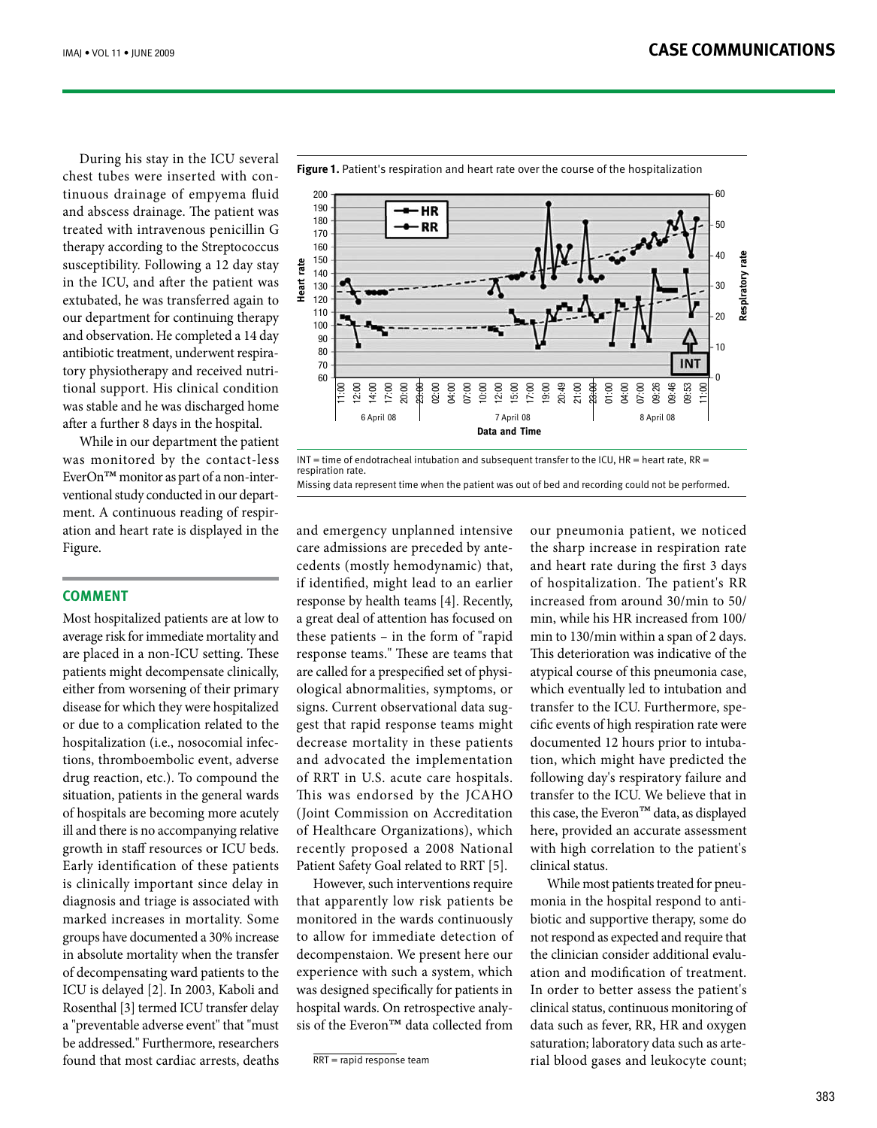During his stay in the ICU several tinuous drainage of empyema fluid chest tubes were inserted with conand abscess drainage. The patient was treated with intravenous penicillin G therapy according to the Streptococcus susceptibility. Following a 12 day stay in the ICU, and after the patient was extubated, he was transferred again to our department for continuing therapy and observation. He completed a 14 day tional support. His clinical condition tory physiotherapy and received nutriantibiotic treatment, underwent respirawas stable and he was discharged home after a further 8 days in the hospital.

While in our department the patient was monitored by the contact-less ation and heart rate is displayed in the ment. A continuous reading of respirventional study conducted in our depart- $EverOn<sup>TM</sup> monitor as part of a non-inter-$ Figure.

## **Comment**

Most hospitalized patients are at low to average risk for immediate mortality and are placed in a non-ICU setting. These patients might decompensate clinically, either from worsening of their primary disease for which they were hospitalized or due to a complication related to the tions, thromboembolic event, adverse hospitalization (i.e., nosocomial infecdrug reaction, etc.). To compound the situation, patients in the general wards of hospitals are becoming more acutely ill and there is no accompanying relative growth in staff resources or ICU beds. Early identification of these patients is clinically important since delay in diagnosis and triage is associated with marked increases in mortality. Some groups have documented a 30% increase in absolute mortality when the transfer of decompensating ward patients to the ICU is delayed [2]. In 2003, Kaboli and Rosenthal [3] termed ICU transfer delay a "preventable adverse event" that "must be addressed " Furthermore, researchers found that most cardiac arrests, deaths



 $INT = time of endotracheal intubation and subsequent transfer to the ICU, HR = heart rate, RR =$ respiration rate Missing data represent time when the patient was out of bed and recording could not be performed.

and emergency unplanned intensive cedents (mostly hemodynamic) that, care admissions are preceded by anteif identified, might lead to an earlier response by health teams [4]. Recently, a great deal of attention has focused on these patients – in the form of "rapid" response teams." These are teams that ological abnormalities, symptoms, or are called for a prespecified set of physigest that rapid response teams might signs. Current observational data sugdecrease mortality in these patients and advocated the implementation of RRT in U.S. acute care hospitals. This was endorsed by the JCAHO (Joint Commission on Accreditation of Healthcare Organizations), which recently proposed a 2008 National Patient Safety Goal related to RRT [5].

However, such interventions require that apparently low risk patients be monitored in the wards continuously to allow for immediate detection of decompenstaion. We present here our experience with such a system, which was designed specifically for patients in sis of the Everon<sup>™</sup> data collected from hospital wards. On retrospective analy-

our pneumonia patient, we noticed the sharp increase in respiration rate and heart rate during the first 3 days of hospitalization. The patient's RR increased from around  $30/\text{min}$  to  $50/\text{min}$ min, while his HR increased from 100/ min to  $130/\text{min}$  within a span of 2 days. This deterioration was indicative of the atypical course of this pneumonia case, which eventually led to intubation and cific events of high respiration rate were transfer to the ICU. Furthermore, spetion, which might have predicted the documented 12 hours prior to intubafollowing day's respiratory failure and transfer to the ICU. We believe that in this case, the Everon<sup>™</sup> data, as displayed here, provided an accurate assessment with high correlation to the patient's clinical status

biotic and supportive therapy, some do monia in the hospital respond to anti-While most patients treated for pneunot respond as expected and require that ation and modification of treatment. the clinician consider additional evalu-In order to better assess the patient's clinical status, continuous monitoring of data such as fever, RR, HR and oxygen rial blood gases and leukocyte count; saturation; laboratory data such as arte-

## **Figure 1.** Patient's respiration and heart rate over the course of the hospitalization

 $\overline{RRT}$  = rapid response team